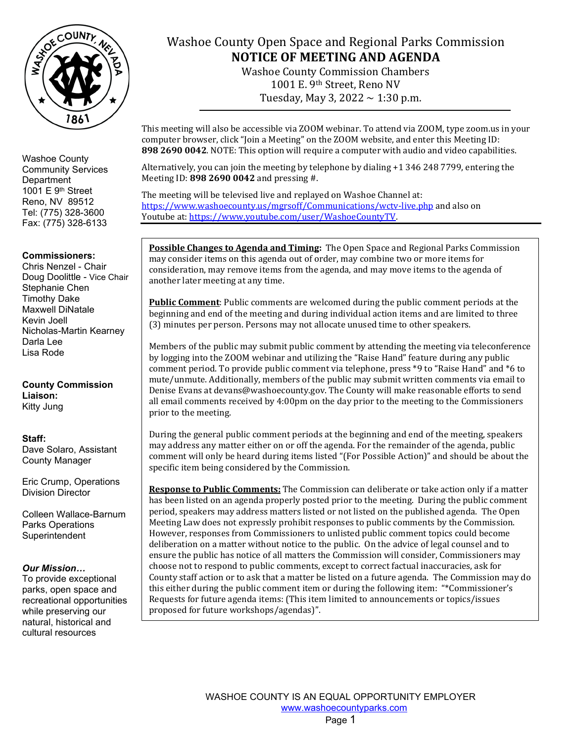

### **Commissioners:**

Chris Nenzel - Chair Doug Doolittle - Vice Chair Stephanie Chen Timothy Dake Maxwell DiNatale Kevin Joell Nicholas-Martin Kearney Darla Lee Lisa Rode

**County Commission Liaison:** Kitty Jung

**Staff:**  Dave Solaro, Assistant County Manager

Eric Crump, Operations Division Director

Colleen Wallace-Barnum Parks Operations **Superintendent** 

### *Our Mission…*

To provide exceptional parks, open space and recreational opportunities while preserving our natural, historical and cultural resources

## Washoe County Open Space and Regional Parks Commission **NOTICE OF MEETING AND AGENDA**

Washoe County Commission Chambers 1001 E. 9th Street, Reno NV Tuesday, May 3, 2022  $\sim$  1:30 p.m.

This meeting will also be accessible via ZOOM webinar. To attend via ZOOM, type zoom.us in your computer browser, click "Join a Meeting" on the ZOOM website, and enter this Meeting ID: **898 2690 0042**. NOTE: This option will require a computer with audio and video capabilities.

Alternatively, you can join the meeting by telephone by dialing +1 346 248 7799, entering the Meeting ID: **898 2690 0042** and pressing #.

The meeting will be televised live and replayed on Washoe Channel at: <https://www.washoecounty.us/mgrsoff/Communications/wctv-live.php> and also on Youtube at[: https://www.youtube.com/user/WashoeCountyTV.](https://www.youtube.com/user/WashoeCountyTV)

**Possible Changes to Agenda and Timing:** The Open Space and Regional Parks Commission may consider items on this agenda out of order, may combine two or more items for consideration, may remove items from the agenda, and may move items to the agenda of another later meeting at any time.

**Public Comment**: Public comments are welcomed during the public comment periods at the beginning and end of the meeting and during individual action items and are limited to three (3) minutes per person. Persons may not allocate unused time to other speakers.

Members of the public may submit public comment by attending the meeting via teleconference by logging into the ZOOM webinar and utilizing the "Raise Hand" feature during any public comment period. To provide public comment via telephone, press \*9 to "Raise Hand" and \*6 to mute/unmute. Additionally, members of the public may submit written comments via email to Denise Evans at devans@washoecounty.gov. The County will make reasonable efforts to send all email comments received by 4:00pm on the day prior to the meeting to the Commissioners prior to the meeting.

During the general public comment periods at the beginning and end of the meeting, speakers may address any matter either on or off the agenda. For the remainder of the agenda, public comment will only be heard during items listed "(For Possible Action)" and should be about the specific item being considered by the Commission.

**Response to Public Comments:** The Commission can deliberate or take action only if a matter has been listed on an agenda properly posted prior to the meeting. During the public comment period, speakers may address matters listed or not listed on the published agenda. The Open Meeting Law does not expressly prohibit responses to public comments by the Commission. However, responses from Commissioners to unlisted public comment topics could become deliberation on a matter without notice to the public. On the advice of legal counsel and to ensure the public has notice of all matters the Commission will consider, Commissioners may choose not to respond to public comments, except to correct factual inaccuracies, ask for County staff action or to ask that a matter be listed on a future agenda. The Commission may do this either during the public comment item or during the following item: "\*Commissioner's Requests for future agenda items: (This item limited to announcements or topics/issues proposed for future workshops/agendas)".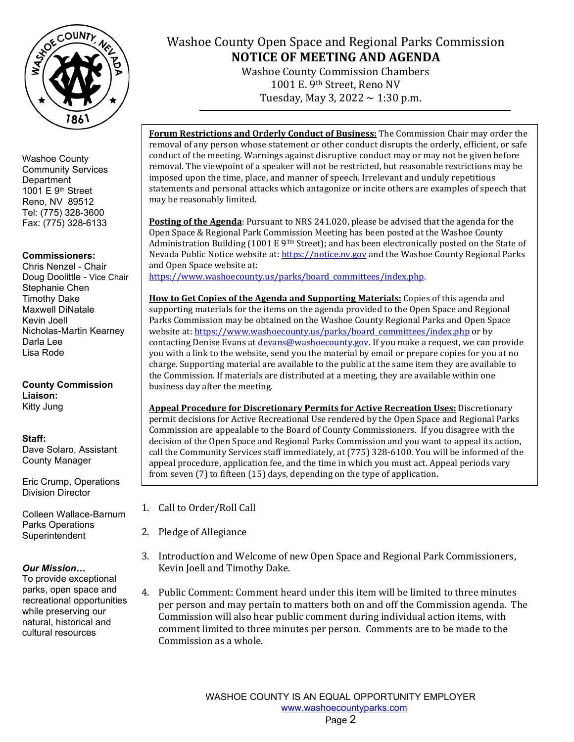

### **Commissioners:**

Chris Nenzel - Chair Doug Doolittle - Vice Chair Stephanie Chen Timothy Dake Maxwell DiNatale Kevin Joell Nicholas-Martin Kearney Darla Lee Lisa Rode

### **County Commission Liaison:** Kitty Jung

## **Staff:**

Dave Solaro, Assistant County Manager

Eric Crump, Operations Division Director

Colleen Wallace-Barnum Parks Operations **Superintendent** 

### *Our Mission…*

To provide exceptional parks, open space and recreational opportunities while preserving our natural, historical and cultural resources

# Washoe County Open Space and Regional Parks Commission **NOTICE OF MEETING AND AGENDA**

Washoe County Commission Chambers 1001 E. 9th Street, Reno NV Tuesday, May 3, 2022  $\sim$  1:30 p.m.

**Forum Restrictions and Orderly Conduct of Business:** The Commission Chair may order the removal of any person whose statement or other conduct disrupts the orderly, efficient, or safe conduct of the meeting. Warnings against disruptive conduct may or may not be given before removal. The viewpoint of a speaker will not be restricted, but reasonable restrictions may be imposed upon the time, place, and manner of speech. Irrelevant and unduly repetitious statements and personal attacks which antagonize or incite others are examples of speech that may be reasonably limited.

**Posting of the Agenda**: Pursuant to NRS 241.020, please be advised that the agenda for the Open Space & Regional Park Commission Meeting has been posted at the Washoe County Administration Building (1001 E 9<sup>TH</sup> Street); and has been electronically posted on the State of Nevada Public Notice website at[: https://notice.nv.gov](https://notice.nv.gov/) and the Washoe County Regional Parks and Open Space website at:

[https://www.washoecounty.us/parks/board\\_committees/index.php.](https://www.washoecounty.us/parks/board_committees/index.php)

**How to Get Copies of the Agenda and Supporting Materials:** Copies of this agenda and supporting materials for the items on the agenda provided to the Open Space and Regional Parks Commission may be obtained on the Washoe County Regional Parks and Open Space website at[: https://www.washoecounty.us/parks/board\\_committees/index.php](https://www.washoecounty.us/parks/board_committees/index.php) or by contacting Denise Evans at *devans@washoecounty.gov*. If you make a request, we can provide you with a link to the website, send you the material by email or prepare copies for you at no charge. Supporting material are available to the public at the same item they are available to the Commission. If materials are distributed at a meeting, they are available within one business day after the meeting.

**Appeal Procedure for Discretionary Permits for Active Recreation Uses:** Discretionary permit decisions for Active Recreational Use rendered by the Open Space and Regional Parks Commission are appealable to the Board of County Commissioners. If you disagree with the decision of the Open Space and Regional Parks Commission and you want to appeal its action, call the Community Services staff immediately, at (775) 328-6100. You will be informed of the appeal procedure, application fee, and the time in which you must act. Appeal periods vary from seven (7) to fifteen (15) days, depending on the type of application.

- 1. Call to Order/Roll Call
- 2. Pledge of Allegiance
- 3. Introduction and Welcome of new Open Space and Regional Park Commissioners, Kevin Joell and Timothy Dake.
- 4. Public Comment: Comment heard under this item will be limited to three minutes per person and may pertain to matters both on and off the Commission agenda. The Commission will also hear public comment during individual action items, with comment limited to three minutes per person. Comments are to be made to the Commission as a whole.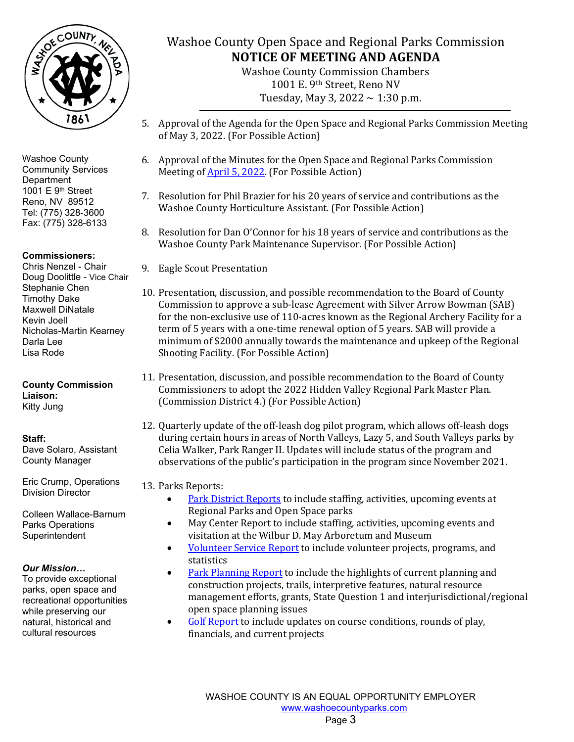

## **Commissioners:**

Chris Nenzel - Chair Doug Doolittle - Vice Chair Stephanie Chen Timothy Dake Maxwell DiNatale Kevin Joell Nicholas-Martin Kearney Darla Lee Lisa Rode

**County Commission Liaison:** Kitty Jung

**Staff:**  Dave Solaro, Assistant County Manager

Eric Crump, Operations Division Director

Colleen Wallace-Barnum Parks Operations Superintendent

### *Our Mission…*

To provide exceptional parks, open space and recreational opportunities while preserving our natural, historical and cultural resources

# Washoe County Open Space and Regional Parks Commission **NOTICE OF MEETING AND AGENDA**

Washoe County Commission Chambers 1001 E. 9th Street, Reno NV Tuesday, May 3, 2022  $\sim$  1:30 p.m.

- 5. Approval of the Agenda for the Open Space and Regional Parks Commission Meeting of May 3, 2022. (For Possible Action)
- 6. Approval of the Minutes for the Open Space and Regional Parks Commission Meeting o[f April 5, 2022.](https://www.washoecounty.gov/parks/board_committees/2022/files/040522-DRAFT-Parks-Open-Space-Minutes.pdf) (For Possible Action)
- 7. Resolution for Phil Brazier for his 20 years of service and contributions as the Washoe County Horticulture Assistant. (For Possible Action)
- 8. Resolution for Dan O'Connor for his 18 years of service and contributions as the Washoe County Park Maintenance Supervisor. (For Possible Action)
- 9. Eagle Scout Presentation
- 10. Presentation, discussion, and possible recommendation to the Board of County Commission to approve a sub-lease Agreement with Silver Arrow Bowman (SAB) for the non-exclusive use of 110-acres known as the Regional Archery Facility for a term of 5 years with a one-time renewal option of 5 years. SAB will provide a minimum of \$2000 annually towards the maintenance and upkeep of the Regional Shooting Facility. (For Possible Action)
- 11. Presentation, discussion, and possible recommendation to the Board of County Commissioners to adopt the 2022 Hidden Valley Regional Park Master Plan. (Commission District 4.) (For Possible Action)
- 12. Quarterly update of the off-leash dog pilot program, which allows off-leash dogs during certain hours in areas of North Valleys, Lazy 5, and South Valleys parks by Celia Walker, Park Ranger II. Updates will include status of the program and observations of the public's participation in the program since November 2021.

### 13. Parks Reports:

- [Park District Reports](https://www.washoecounty.gov/parks/board_committees/2022/files/Park-District-Report-APRIL-for-May-22-meeting.pdf) to include staffing, activities, upcoming events at Regional Parks and Open Space parks
- May Center Report to include staffing, activities, upcoming events and visitation at the Wilbur D. May Arboretum and Museum
- [Volunteer Service Report](https://www.washoecounty.gov/parks/board_committees/2022/files/Volunteer-Services-Report--May-2022-Meeting.pdf) to include volunteer projects, programs, and statistics
- [Park Planning Report](https://www.washoecounty.gov/parks/board_committees/2022/files/Planning-APRIL-may-Mtg-2022.pdf) to include the highlights of current planning and construction projects, trails, interpretive features, natural resource management efforts, grants, State Question 1 and interjurisdictional/regional open space planning issues
- [Golf Report](https://www.washoecounty.gov/parks/board_committees/2022/files/Golf-Combined_Mar-for-May-2022-mtg.pdf) to include updates on course conditions, rounds of play, financials, and current projects